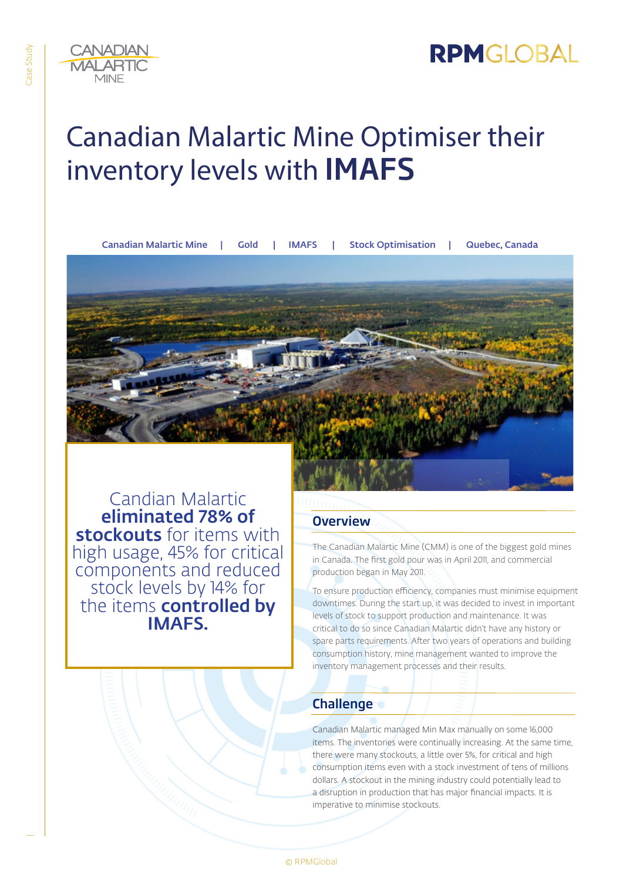

# Canadian Malartic Mine Optimiser their inventory levels with IMAFS

Canadian Malartic Mine | Gold | IMAFS | Stock Optimisation | Quebec, Canada



Candian Malartic eliminated 78% of stockouts for items with high usage, 45% for critical components and reduced stock levels by 14% for the items **controlled by** IMAFS.

**Overview** 

The Canadian Malartic Mine (CMM) is one of the biggest gold mines in Canada. The first gold pour was in April 2011, and commercial production began in May 2011.

To ensure production efficiency, companies must minimise equipment downtimes. During the start up, it was decided to invest in important levels of stock to support production and maintenance. It was critical to do so since Canadian Malartic didn't have any history or spare parts requirements. After two years of operations and building consumption history, mine management wanted to improve the inventory management processes and their results.

## **Challenge**

Canadian Malartic managed Min Max manually on some 16,000 items. The inventories were continually increasing. At the same time, there were many stockouts, a little over 5%, for critical and high consumption items even with a stock investment of tens of millions dollars. A stockout in the mining industry could potentially lead to a disruption in production that has major financial impacts. It is imperative to minimise stockouts.